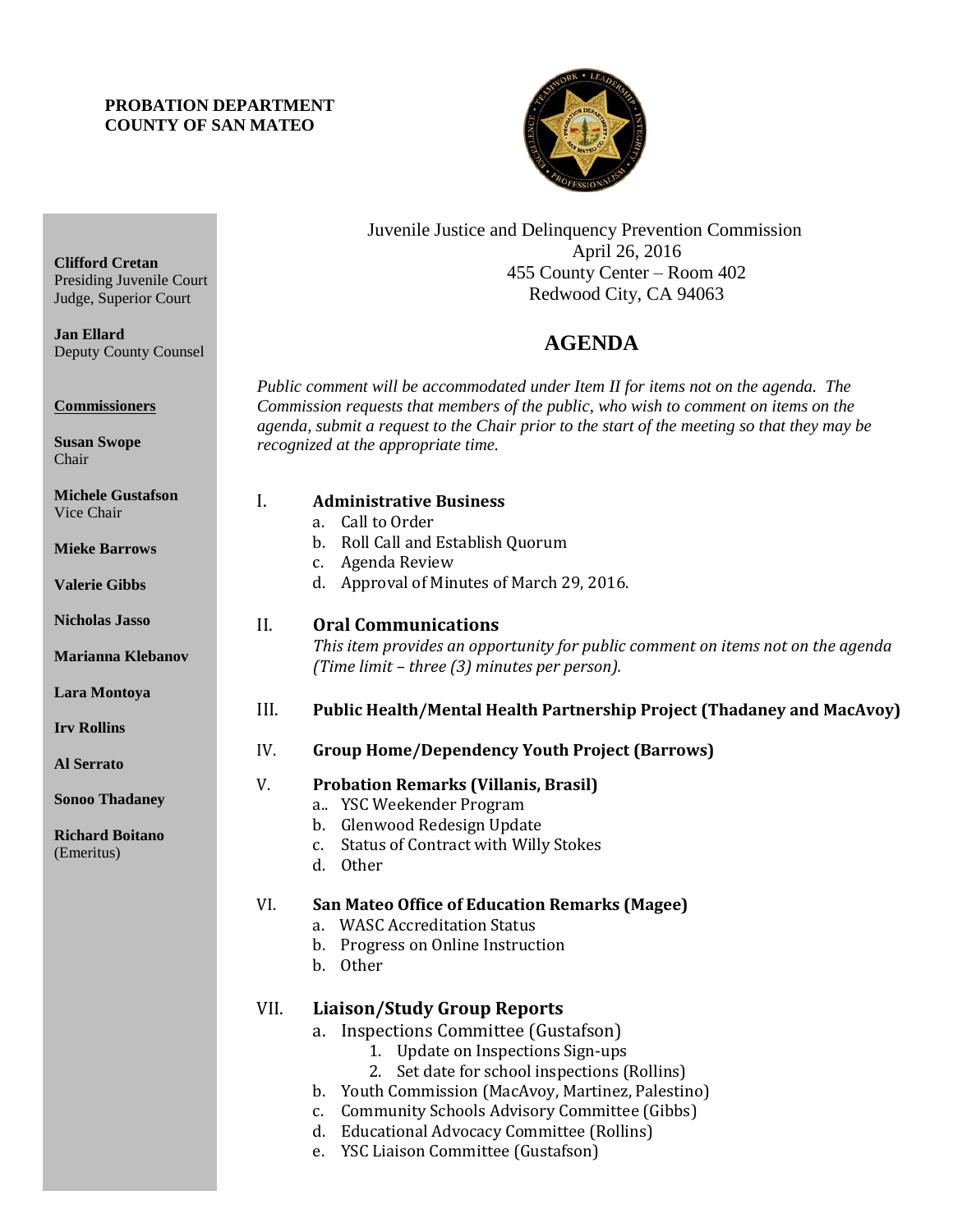### **PROBATION DEPARTMENT COUNTY OF SAN MATEO**

**Clifford Cretan**

**Jan Ellard**

**Commissioners**

**Susan Swope** Chair

Presiding Juvenile Court Judge, Superior Court

Deputy County Counsel



Juvenile Justice and Delinquency Prevention Commission April 26, 2016 455 County Center – Room 402 Redwood City, CA 94063

# **AGENDA**

*Public comment will be accommodated under Item II for items not on the agenda. The Commission requests that members of the public, who wish to comment on items on the agenda, submit a request to the Chair prior to the start of the meeting so that they may be recognized at the appropriate time.* 

| <b>Michele Gustafson</b><br>Vice Chair | I.   | <b>Administrative Business</b><br>Call to Order<br>a.                                                                           |
|----------------------------------------|------|---------------------------------------------------------------------------------------------------------------------------------|
| <b>Mieke Barrows</b>                   |      | b. Roll Call and Establish Quorum<br>c. Agenda Review                                                                           |
| <b>Valerie Gibbs</b>                   |      | d. Approval of Minutes of March 29, 2016.                                                                                       |
| <b>Nicholas Jasso</b>                  | II.  | <b>Oral Communications</b>                                                                                                      |
| <b>Marianna Klebanov</b>               |      | This item provides an opportunity for public comment on items not on the agenda<br>(Time limit - three (3) minutes per person). |
| Lara Montoya                           |      |                                                                                                                                 |
| <b>Irv Rollins</b>                     | III. | Public Health/Mental Health Partnership Project (Thadaney and MacAvoy)                                                          |
| <b>Al Serrato</b>                      | IV.  | <b>Group Home/Dependency Youth Project (Barrows)</b>                                                                            |
| <b>Sonoo Thadaney</b>                  | V.   | <b>Probation Remarks (Villanis, Brasil)</b><br>a. YSC Weekender Program                                                         |
| <b>Richard Boitano</b><br>(Emeritus)   |      | b. Glenwood Redesign Update<br>c. Status of Contract with Willy Stokes<br>d. Other                                              |
|                                        | VI.  | <b>San Mateo Office of Education Remarks (Magee)</b>                                                                            |
|                                        |      | a. WASC Accreditation Status<br>b. Progress on Online Instruction                                                               |
|                                        |      | b. Other                                                                                                                        |
|                                        | VII. | <b>Liaison/Study Group Reports</b>                                                                                              |
|                                        |      | a. Inspections Committee (Gustafson)                                                                                            |
|                                        |      | 1. Update on Inspections Sign-ups                                                                                               |
|                                        |      | 2. Set date for school inspections (Rollins)<br>b. Youth Commission (MacAvoy, Martinez, Palestino)                              |
|                                        |      | c. Community Schools Advisory Committee (Gibbs)                                                                                 |

- d. Educational Advocacy Committee (Rollins)
- e. YSC Liaison Committee (Gustafson)